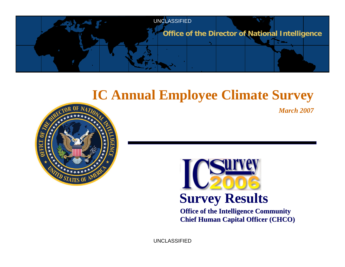

# **IC Annual Employee Climate Survey**

*March 2007*





**Office of the Intelligence Community Chief Human Capital Officer (CHCO) Chief Human Capital Officer (CHCO)**

UNCLASSIFIED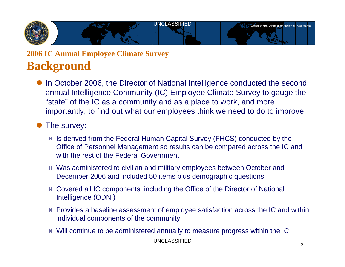

### **2006 IC Annual Employee Climate Survey Background**

In October 2006, the Director of National Intelligence conducted the second annual Intelligence Community (IC) Employee Climate Survey to gauge the "state" of the IC as a community and as a place to work, and more importantly, to find out what our employees think we need to do to improve

#### The survey:

- Is derived from the Federal Human Capital Survey (FHCS) conducted by the Office of Personnel Management so results can be compared across the IC and with the rest of the Federal Government
- Was administered to civilian and military employees between October and December 2006 and included 50 items plus demographic questions
- Covered all IC components, including the Office of the Director of National Intelligence (ODNI)
- **Provides a baseline assessment of employee satisfaction across the IC and within** individual components of the community
- UNCLASSIFIED**\*** Will continue to be administered annually to measure progress within the IC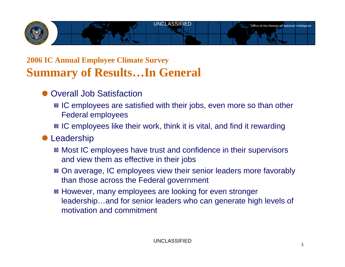

### **2006 IC Annual Employee Climate Survey Summary of Results…In General**

- Overall Job Satisfaction
	- **E** IC employees are satisfied with their jobs, even more so than other Federal employees
	- IC employees like their work, think it is vital, and find it rewarding
- **Leadership** 
	- **E** Most IC employees have trust and confidence in their supervisors and view them as effective in their jobs
	- On average, IC employees view their senior leaders more favorably than those across the Federal government
	- However, many employees are looking for even stronger leadership…and for senior leaders who can generate high levels of motivation and commitment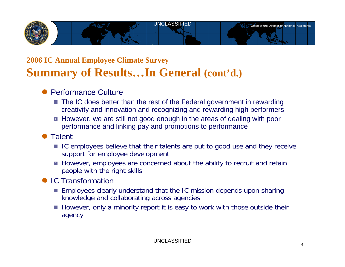

### **2006 IC Annual Employee Climate Survey Summary of Results…In General (cont'd.)**

#### Performance Culture

- $\blacksquare$  The IC does better than the rest of the Federal government in rewarding creativity and innovation and recognizing and rewarding high performers
- However, we are still not good enough in the areas of dealing with poor performance and linking pay and promotions to performance

#### **Talent**

- IC employees believe that their talents are put to good use and they receive support for employee development
- However, employees are concerned about the ability to recruit and retain people with the right skills

#### ● IC Transformation

- Employees clearly understand that the IC mission depends upon sharing -¦knowledge and collaborating across agencies
- However, only a minority report it is easy to work with those outside their agency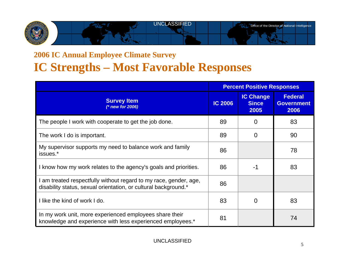

### **2006 IC Annual Employee Climate Survey IC Strengths – Most Favorable Responses**

|                                                                                                                                      | <b>Percent Positive Responses</b> |                                          |                                             |
|--------------------------------------------------------------------------------------------------------------------------------------|-----------------------------------|------------------------------------------|---------------------------------------------|
| <b>Survey Item</b><br>(* new for 2006)                                                                                               | <b>IC 2006</b>                    | <b>IC Change</b><br><b>Since</b><br>2005 | <b>Federal</b><br><b>Government</b><br>2006 |
| The people I work with cooperate to get the job done.                                                                                | 89                                | $\Omega$                                 | 83                                          |
| The work I do is important.                                                                                                          | 89                                | $\Omega$                                 | 90                                          |
| My supervisor supports my need to balance work and family<br>issues.*                                                                | 86                                |                                          | 78                                          |
| I know how my work relates to the agency's goals and priorities.                                                                     | 86                                | $-1$                                     | 83                                          |
| I am treated respectfully without regard to my race, gender, age,<br>disability status, sexual orientation, or cultural background.* | 86                                |                                          |                                             |
| I like the kind of work I do.                                                                                                        | 83                                | $\Omega$                                 | 83                                          |
| In my work unit, more experienced employees share their<br>knowledge and experience with less experienced employees.*                | 81                                |                                          | 74                                          |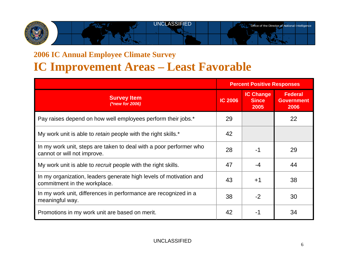## UNCLASSIFIEDOffice of the Director of National Intelligence

### **2006 IC Annual Employee Climate Survey IC Improvement Areas – Least Favorable**

|                                                                                                    | <b>Percent Positive Responses</b> |                                          |                                             |
|----------------------------------------------------------------------------------------------------|-----------------------------------|------------------------------------------|---------------------------------------------|
| <b>Survey Item</b><br>(*new for 2006)                                                              | <b>IC 2006</b>                    | <b>IC Change</b><br><b>Since</b><br>2005 | <b>Federal</b><br><b>Government</b><br>2006 |
| Pay raises depend on how well employees perform their jobs.*                                       | 29                                |                                          | 22                                          |
| My work unit is able to retain people with the right skills.*                                      | 42                                |                                          |                                             |
| In my work unit, steps are taken to deal with a poor performer who<br>cannot or will not improve.  | 28                                | $-1$                                     | 29                                          |
| My work unit is able to recruit people with the right skills.                                      | 47                                | $-4$                                     | 44                                          |
| In my organization, leaders generate high levels of motivation and<br>commitment in the workplace. | 43                                | $+1$                                     | 38                                          |
| In my work unit, differences in performance are recognized in a<br>meaningful way.                 | 38                                | $-2$                                     | 30                                          |
| Promotions in my work unit are based on merit.                                                     | 42                                | -1                                       | 34                                          |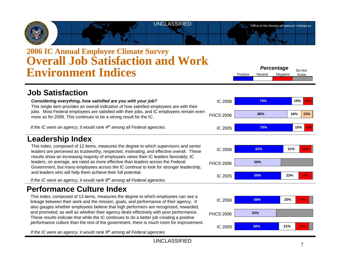

### **2006 IC Annual Employee Climate Survey Overall Job Satisfaction and Work Environment Indices**

Positive Neutral Negative Do Not Know*Percentage*

#### **Job Satisfaction**

| Considering everything, how satisfied are you with your job?<br>This single item provides an overall indication of how satisfied employees are with their<br>jobs. Most Federal employees are satisfied with their jobs, and IC employees remain even<br>more so for 2006. This continues to be a strong result for the IC.                                                                                                                                                                                                                                                                                                                    | IC 2006          | 74% | 15%               |
|------------------------------------------------------------------------------------------------------------------------------------------------------------------------------------------------------------------------------------------------------------------------------------------------------------------------------------------------------------------------------------------------------------------------------------------------------------------------------------------------------------------------------------------------------------------------------------------------------------------------------------------------|------------------|-----|-------------------|
|                                                                                                                                                                                                                                                                                                                                                                                                                                                                                                                                                                                                                                                | <b>FHCS 2006</b> | 68% | 18%<br><b>15%</b> |
| If the IC were an agency, it would rank 4 <sup>th</sup> among all Federal agencies.                                                                                                                                                                                                                                                                                                                                                                                                                                                                                                                                                            | IC 2005          | 75% | 15%               |
| Leadership Index                                                                                                                                                                                                                                                                                                                                                                                                                                                                                                                                                                                                                               |                  |     |                   |
| This index, composed of 12 items, measures the degree to which supervisors and senior<br>leaders are perceived as trustworthy, respected, motivating, and effective overall. These<br>results show an increasing majority of employees views their IC leaders favorably; IC<br>leaders, on average, are rated as more effective than leaders across the Federal<br>Government, but many employees across the IC continue to look for stronger leadership,<br>and leaders who will help them achieve their full potential.<br>If the IC were an agency, it would rank $8th$ among all Federal agencies.                                         | IC 2006          | 62% | 21%<br>15%        |
|                                                                                                                                                                                                                                                                                                                                                                                                                                                                                                                                                                                                                                                | <b>FHCS 2006</b> | 59% |                   |
|                                                                                                                                                                                                                                                                                                                                                                                                                                                                                                                                                                                                                                                | IC 2005          | 59% | 23%<br><b>17%</b> |
| <b>Performance Culture Index</b>                                                                                                                                                                                                                                                                                                                                                                                                                                                                                                                                                                                                               |                  |     |                   |
| This index, composed of 13 items, measures the degree to which employees can see a<br>linkage between their work and the mission, goals, and performance of their agency. It<br>also gauges whether employees believe that high performers are recognized, rewarded,<br>and promoted, as well as whether their agency deals effectively with poor performance.<br>These results indicate that while the IC continues to do a better job creating a positive<br>performance culture than the rest of the government, there is much room for improvement.<br>If the IC were an agency, it would rank 9 <sup>th</sup> among all Federal agencies. | IC 2006          | 58% | 20%<br>17%        |
|                                                                                                                                                                                                                                                                                                                                                                                                                                                                                                                                                                                                                                                | <b>FHCS 2006</b> | 53% |                   |
|                                                                                                                                                                                                                                                                                                                                                                                                                                                                                                                                                                                                                                                | IC 2005          | 56% | 21%<br>17%        |
|                                                                                                                                                                                                                                                                                                                                                                                                                                                                                                                                                                                                                                                |                  |     |                   |

UNCLASSIFIED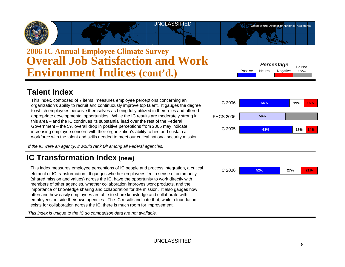### **2006 IC Annual Employee Climate Survey Overall Job Satisfaction and Work Environment Indices (cont'd.)** Percentage Do Not Know **Percentage** Do Not **Environment Indices (cont'd.)**

#### **Talent Index**

This index, composed of 7 items, measures employee perceptions concerning an organization's ability to recruit and continuously improve top talent. It gauges the degree to which employees perceive themselves as being fully utilized in their roles and offered appropriate developmental opportunities. While the IC results are moderately strong in this area – and the IC continues its substantial lead over the rest of the Federal Government – the 5% overall drop in positive perceptions from 2005 may indicate increasing employee concern with their organization's ability to hire and sustain a workforce with the talent and skills needed to meet our critical national security mission.

*If the IC were an agency, it would rank 6th among all Federal agencies.*

#### **IC Transformation Index (new)**

This index measures employee perceptions of IC people and process integration, a critical element of IC transformation. It gauges whether employees feel a sense of community (shared mission and values) across the IC, have the opportunity to work directly with members of other agencies, whether collaboration improves work products, and the importance of knowledge sharing and collaboration for the mission. It also gauges how often and how easily employees are able to share knowledge and collaborate with employees outside their own agencies. The IC results indicate that, while a foundation exists for collaboration across the IC, there is much room for improvement.

*This index is unique to the IC so comparison data are not available.*